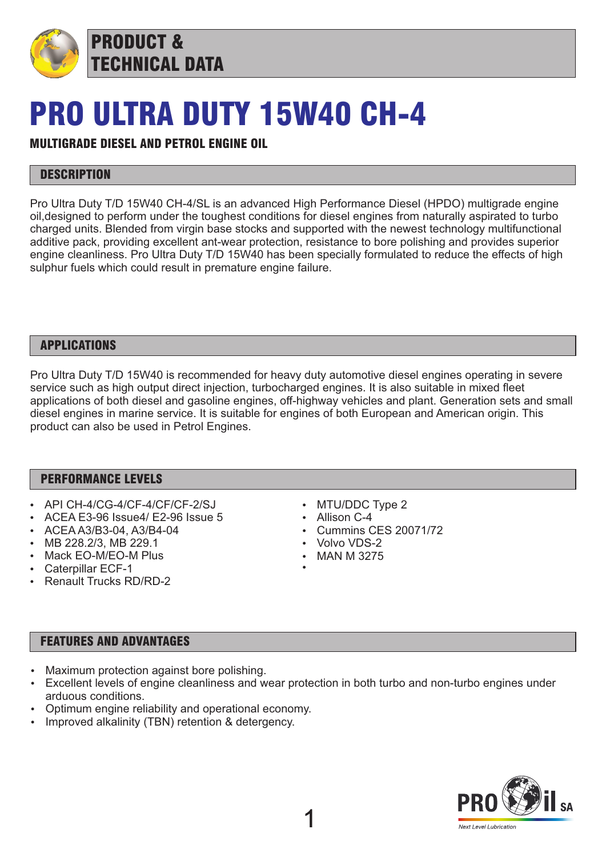

PRODUCT & TECHNICAL DATA

# PRO ULTRA DUTY 15W40 CH-4

# MULTIGRADE DIESEL AND PETROL ENGINE OIL

## **DESCRIPTION**

Pro Ultra Duty T/D 15W40 CH-4/SL is an advanced High Performance Diesel (HPDO) multigrade engine oil,designed to perform under the toughest conditions for diesel engines from naturally aspirated to turbo charged units. Blended from virgin base stocks and supported with the newest technology multifunctional additive pack, providing excellent ant-wear protection, resistance to bore polishing and provides superior engine cleanliness. Pro Ultra Duty T/D 15W40 has been specially formulated to reduce the effects of high sulphur fuels which could result in premature engine failure.

## APPLICATIONS

Pro Ultra Duty T/D 15W40 is recommended for heavy duty automotive diesel engines operating in severe service such as high output direct injection, turbocharged engines. It is also suitable in mixed fleet applications of both diesel and gasoline engines, off-highway vehicles and plant. Generation sets and small diesel engines in marine service. It is suitable for engines of both European and American origin. This product can also be used in Petrol Engines.

#### PERFORMANCE LEVELS

- $\bullet$  API CH-4/CG-4/CF-4/CF/CF-2/SJ
- ACEA E3-96 Issue4/ E2-96 Issue 5
- ACEA A3/B3-04, A3/B4-04
- MB 228.2/3, MB 229.1
- Mack EO-M/EO-M Plus
- Caterpillar ECF-1
- **Renault Trucks RD/RD-2**
- MTU/DDC Type 2
- $\cdot$  Allison C-4
- **Cummins CES 20071/72**
- Volvo VDS-2
- **MAN M 3275**  $\bullet$

## FEATURES AND ADVANTAGES

- Maximum protection against bore polishing.
- Excellent levels of engine cleanliness and wear protection in both turbo and non-turbo engines under arduous conditions.
- Optimum engine reliability and operational economy.
- Improved alkalinity (TBN) retention & detergency.